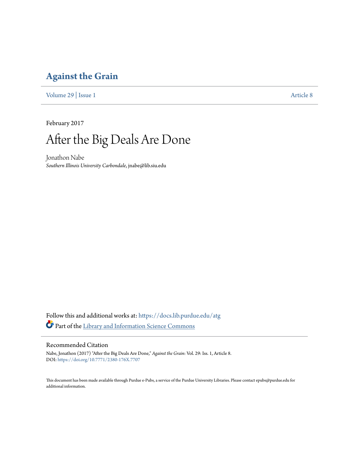### **[Against the Grain](https://docs.lib.purdue.edu/atg?utm_source=docs.lib.purdue.edu%2Fatg%2Fvol29%2Fiss1%2F8&utm_medium=PDF&utm_campaign=PDFCoverPages)**

[Volume 29](https://docs.lib.purdue.edu/atg/vol29?utm_source=docs.lib.purdue.edu%2Fatg%2Fvol29%2Fiss1%2F8&utm_medium=PDF&utm_campaign=PDFCoverPages) | [Issue 1](https://docs.lib.purdue.edu/atg/vol29/iss1?utm_source=docs.lib.purdue.edu%2Fatg%2Fvol29%2Fiss1%2F8&utm_medium=PDF&utm_campaign=PDFCoverPages) [Article 8](https://docs.lib.purdue.edu/atg/vol29/iss1/8?utm_source=docs.lib.purdue.edu%2Fatg%2Fvol29%2Fiss1%2F8&utm_medium=PDF&utm_campaign=PDFCoverPages)

February 2017

# After the Big Deals Are Done

Jonathon Nabe *Southern Illinois University Carbondale*, jnabe@lib.siu.edu

Follow this and additional works at: [https://docs.lib.purdue.edu/atg](https://docs.lib.purdue.edu/atg?utm_source=docs.lib.purdue.edu%2Fatg%2Fvol29%2Fiss1%2F8&utm_medium=PDF&utm_campaign=PDFCoverPages) Part of the [Library and Information Science Commons](http://network.bepress.com/hgg/discipline/1018?utm_source=docs.lib.purdue.edu%2Fatg%2Fvol29%2Fiss1%2F8&utm_medium=PDF&utm_campaign=PDFCoverPages)

#### Recommended Citation

Nabe, Jonathon (2017) "After the Big Deals Are Done," *Against the Grain*: Vol. 29: Iss. 1, Article 8. DOI: <https://doi.org/10.7771/2380-176X.7707>

This document has been made available through Purdue e-Pubs, a service of the Purdue University Libraries. Please contact epubs@purdue.edu for additional information.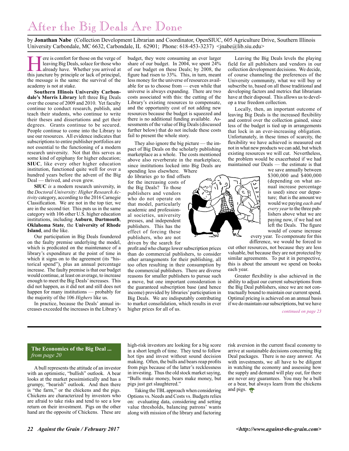## After the Big Deals Are Done

by **Jonathan Nabe** (Collection Development Librarian and Coordinator, OpenSIUC, 605 Agriculture Drive, Southern Illinois University Carbondale, MC 6632, Carbondale, IL 62901; Phone: 618-453-3237) </a>inabe@lib.siu.edu>

Fere is comfort for those on the verge of<br>leaving Big Deals, solace for those who<br>already have. Whether you arrived at<br>this inneture by principle or lack of principal leaving Big Deals, solace for those who already have. Whether you arrived at this juncture by principle or lack of principal, the message is the same: the survival of the academy is not at stake.

**Southern Illinois University Carbondale's Morris Library** left three Big Deals over the course of 2009 and 2010. Yet faculty continue to conduct research, publish, and teach their students, who continue to write their theses and dissertations and get their degrees. Grants continue to be secured. People continue to come into the Library to use our resources. All evidence indicates that subscriptions to entire publisher portfolios are not essential to the functioning of a modern research university. Not that this serves as some kind of epiphany for higher education; **SIUC**, like every other higher education institution, functioned quite well for over a hundred years before the advent of the Big Deal — thrived, and even grew.

**SIUC** *is* a modern research university, in the *Doctoral University: Higher Research Activity* category, according to the 2016 Carnegie Classification. We are not in the top tier, we are in the second tier. This puts us in the same category with 106 other U.S. higher education institutions, including **Auburn**, **Dartmouth**, **Oklahoma State**, the **University of Rhode Island**, and the like.

Our participation in Big Deals foundered on the faulty premise underlying the model, which is predicated on the maintenance of a library's expenditure at the point of time in which it signs on to the agreement (its "historical spend"), plus an annual percentage increase. The faulty premise is that our budget would continue, at least on average, to increase enough to meet the Big Deals' increases. This did not happen, as it did not and still does not happen for many institutions — probably for the majority of the 106 *Highers* like us.

In practice, because the Deals' annual increases exceeded the increases in the Library's

budget, they were consuming an ever larger share of our budget. In 2004, we spent 24% of our budget on these Deals; by 2008, the figure had risen to 33%. This, in turn, meant less money for the universe of resources available for us to choose from — even while that universe is always expanding. There are two costs associated with this: the cutting of the Library's existing resources to compensate, and the opportunity cost of not adding new resources because the budget is squeezed and there is no additional funding available. Assessments of the value of Big Deals (discussed further below) that do not include these costs fail to present the whole story.

They also ignore the big picture — the impact of Big Deals on the scholarly publishing marketplace as a whole. The costs mentioned above also reverberate in the marketplace, since institutions locked into Big Deals are

spending less elsewhere. Where do libraries go to find offsets for the increasing costs of the Big Deals? To those publishers and vendors who do not operate on that model, particularly academic and professional societies, university presses, and independent publishers. This has the effect of forcing these publishers, who are not driven by the search for

profit and who charge lower subscription prices than do commercial publishers, to consider other arrangements for their publishing, all too often resulting in their consumption by the commercial publishers. There are diverse reasons for smaller publishers to pursue such a move, but one important consideration is the guaranteed subscription base (and hence income) provided by libraries' participation in Big Deals. We are indisputably contributing to market consolidation, which results in ever higher prices for all of us.

Leaving the Big Deals levels the playing field for all publishers and vendors in our collection development decisions. We decide, of course channeling the preferences of the University community, what we will buy or subscribe to, based on all those traditional and developing factors and metrics that librarians have at their disposal. This allows us to develop a true freedom collection.

Locally, then, an important outcome of leaving Big Deals is the increased flexibility and control over the collection gained, since less of the budget is tied up in arrangements that lock in an ever-increasing obligation. Unfortunately, in these times of scarcity, the flexibility we have achieved is measured out not in what new products we can add, but which existing resources we will cut. Nevertheless, the problem would be exacerbated if we had maintained our Deals — the estimate is that



we save annually between \$300,000 and \$400,000 (depending on what annual increase percentage is used) since our departure; that is the amount we would we paying *each and every year* to the three publishers above what we are paying now, if we had not left the Deals. The figure would of course increase every year. To compensate for this

difference, we would be forced to cut other resources, not because they are less valuable, but because they are not protected by similar agreements. To put it in perspective, this is about the amount we spend on books each year.

Greater flexibility is also achieved in the ability to adjust our current subscriptions from the Big Deal publishers, since we are not contractually bound to maintain our current spend. Optimal pricing is achieved on an annual basis if we do maintain our subscriptions, but we have

*continued on page 23*

#### **The Economics of the Big Deal ...** *from page 20*

A bull represents the attitude of an investor with an optimistic, "bullish" outlook. A bear looks at the market pessimistically and has a grumpy, "bearish" outlook. And then there is "the farm," or the chickens and the pigs. Chickens are characterized by investors who are afraid to take risks and tend to see a low return on their investment. Pigs on the other hand are the opposite of Chickens. These are high-risk investors are looking for a big score in a short length of time. They tend to follow hot tips and invest without sound decision making. Often, the bulls and bears reap profits from pigs because of the latter's recklessness in investing. Thus the old stock market saying, "Bulls make money, bears make money, but pigs just get slaughtered."

Taking the TBL approach when considering Options vs. Needs and Costs vs. Budgets relies on: evaluating data, considering and setting value thresholds, balancing patrons' wants along with mission of the library and factoring risk aversion in the current fiscal economy to arrive at sustainable decisions concerning Big Deal packages. There is no easy answer. As with investments, we all have to be diligent in watching the economy and assessing how the supply and demand will play out, for there are never any guarantees. You may be a bull or a bear, but always learn from the chickens and pigs.  $\bullet$